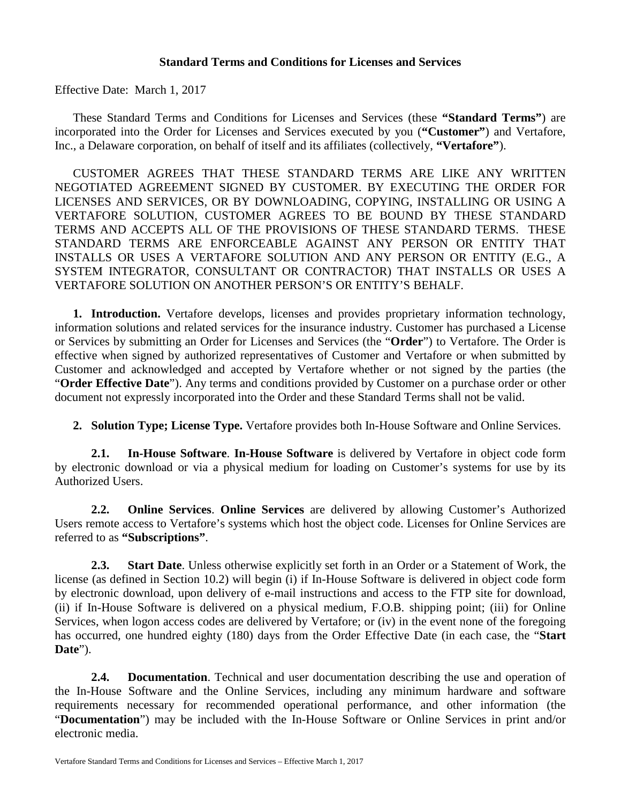### **Standard Terms and Conditions for Licenses and Services**

Effective Date: March 1, 2017

These Standard Terms and Conditions for Licenses and Services (these **"Standard Terms"**) are incorporated into the Order for Licenses and Services executed by you (**"Customer"**) and Vertafore, Inc., a Delaware corporation, on behalf of itself and its affiliates (collectively, **"Vertafore"**).

CUSTOMER AGREES THAT THESE STANDARD TERMS ARE LIKE ANY WRITTEN NEGOTIATED AGREEMENT SIGNED BY CUSTOMER. BY EXECUTING THE ORDER FOR LICENSES AND SERVICES, OR BY DOWNLOADING, COPYING, INSTALLING OR USING A VERTAFORE SOLUTION, CUSTOMER AGREES TO BE BOUND BY THESE STANDARD TERMS AND ACCEPTS ALL OF THE PROVISIONS OF THESE STANDARD TERMS. THESE STANDARD TERMS ARE ENFORCEABLE AGAINST ANY PERSON OR ENTITY THAT INSTALLS OR USES A VERTAFORE SOLUTION AND ANY PERSON OR ENTITY (E.G., A SYSTEM INTEGRATOR, CONSULTANT OR CONTRACTOR) THAT INSTALLS OR USES A VERTAFORE SOLUTION ON ANOTHER PERSON'S OR ENTITY'S BEHALF.

**1. Introduction.** Vertafore develops, licenses and provides proprietary information technology, information solutions and related services for the insurance industry. Customer has purchased a License or Services by submitting an Order for Licenses and Services (the "**Order**") to Vertafore. The Order is effective when signed by authorized representatives of Customer and Vertafore or when submitted by Customer and acknowledged and accepted by Vertafore whether or not signed by the parties (the "**Order Effective Date**"). Any terms and conditions provided by Customer on a purchase order or other document not expressly incorporated into the Order and these Standard Terms shall not be valid.

**2. Solution Type; License Type.** Vertafore provides both In-House Software and Online Services.

**2.1. In-House Software**. **In-House Software** is delivered by Vertafore in object code form by electronic download or via a physical medium for loading on Customer's systems for use by its Authorized Users.

**2.2. Online Services**. **Online Services** are delivered by allowing Customer's Authorized Users remote access to Vertafore's systems which host the object code. Licenses for Online Services are referred to as **"Subscriptions"**.

**2.3. Start Date**. Unless otherwise explicitly set forth in an Order or a Statement of Work, the license (as defined in Section 10.2) will begin (i) if In-House Software is delivered in object code form by electronic download, upon delivery of e-mail instructions and access to the FTP site for download, (ii) if In-House Software is delivered on a physical medium, F.O.B. shipping point; (iii) for Online Services, when logon access codes are delivered by Vertafore; or (iv) in the event none of the foregoing has occurred, one hundred eighty (180) days from the Order Effective Date (in each case, the "**Start Date**").

**2.4. Documentation**. Technical and user documentation describing the use and operation of the In-House Software and the Online Services, including any minimum hardware and software requirements necessary for recommended operational performance, and other information (the "**Documentation**") may be included with the In-House Software or Online Services in print and/or electronic media.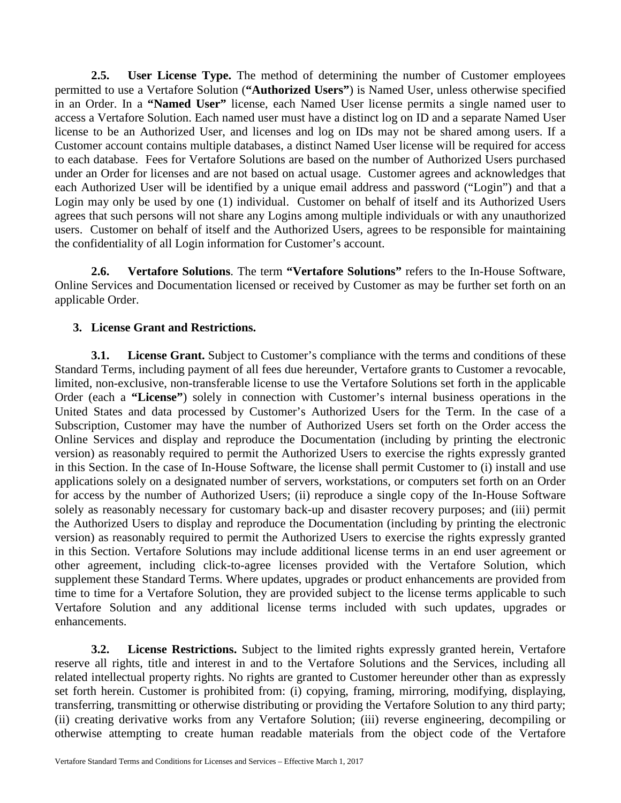**2.5. User License Type.** The method of determining the number of Customer employees permitted to use a Vertafore Solution (**"Authorized Users"**) is Named User, unless otherwise specified in an Order. In a **"Named User"** license, each Named User license permits a single named user to access a Vertafore Solution. Each named user must have a distinct log on ID and a separate Named User license to be an Authorized User, and licenses and log on IDs may not be shared among users. If a Customer account contains multiple databases, a distinct Named User license will be required for access to each database. Fees for Vertafore Solutions are based on the number of Authorized Users purchased under an Order for licenses and are not based on actual usage. Customer agrees and acknowledges that each Authorized User will be identified by a unique email address and password ("Login") and that a Login may only be used by one (1) individual. Customer on behalf of itself and its Authorized Users agrees that such persons will not share any Logins among multiple individuals or with any unauthorized users. Customer on behalf of itself and the Authorized Users, agrees to be responsible for maintaining the confidentiality of all Login information for Customer's account.

**2.6. Vertafore Solutions**. The term **"Vertafore Solutions"** refers to the In-House Software, Online Services and Documentation licensed or received by Customer as may be further set forth on an applicable Order.

## **3. License Grant and Restrictions.**

**3.1. License Grant.** Subject to Customer's compliance with the terms and conditions of these Standard Terms, including payment of all fees due hereunder, Vertafore grants to Customer a revocable, limited, non-exclusive, non-transferable license to use the Vertafore Solutions set forth in the applicable Order (each a **"License"**) solely in connection with Customer's internal business operations in the United States and data processed by Customer's Authorized Users for the Term. In the case of a Subscription, Customer may have the number of Authorized Users set forth on the Order access the Online Services and display and reproduce the Documentation (including by printing the electronic version) as reasonably required to permit the Authorized Users to exercise the rights expressly granted in this Section. In the case of In-House Software, the license shall permit Customer to (i) install and use applications solely on a designated number of servers, workstations, or computers set forth on an Order for access by the number of Authorized Users; (ii) reproduce a single copy of the In-House Software solely as reasonably necessary for customary back-up and disaster recovery purposes; and (iii) permit the Authorized Users to display and reproduce the Documentation (including by printing the electronic version) as reasonably required to permit the Authorized Users to exercise the rights expressly granted in this Section. Vertafore Solutions may include additional license terms in an end user agreement or other agreement, including click-to-agree licenses provided with the Vertafore Solution, which supplement these Standard Terms. Where updates, upgrades or product enhancements are provided from time to time for a Vertafore Solution, they are provided subject to the license terms applicable to such Vertafore Solution and any additional license terms included with such updates, upgrades or enhancements.

**3.2. License Restrictions.** Subject to the limited rights expressly granted herein, Vertafore reserve all rights, title and interest in and to the Vertafore Solutions and the Services, including all related intellectual property rights. No rights are granted to Customer hereunder other than as expressly set forth herein. Customer is prohibited from: (i) copying, framing, mirroring, modifying, displaying, transferring, transmitting or otherwise distributing or providing the Vertafore Solution to any third party; (ii) creating derivative works from any Vertafore Solution; (iii) reverse engineering, decompiling or otherwise attempting to create human readable materials from the object code of the Vertafore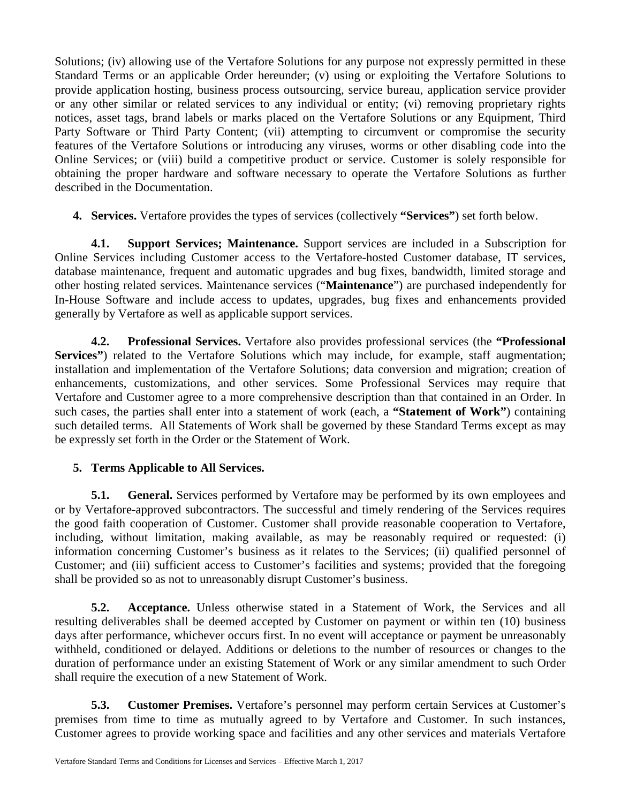Solutions; (iv) allowing use of the Vertafore Solutions for any purpose not expressly permitted in these Standard Terms or an applicable Order hereunder; (v) using or exploiting the Vertafore Solutions to provide application hosting, business process outsourcing, service bureau, application service provider or any other similar or related services to any individual or entity; (vi) removing proprietary rights notices, asset tags, brand labels or marks placed on the Vertafore Solutions or any Equipment, Third Party Software or Third Party Content; (vii) attempting to circumvent or compromise the security features of the Vertafore Solutions or introducing any viruses, worms or other disabling code into the Online Services; or (viii) build a competitive product or service. Customer is solely responsible for obtaining the proper hardware and software necessary to operate the Vertafore Solutions as further described in the Documentation.

**4. Services.** Vertafore provides the types of services (collectively **"Services"**) set forth below.

**4.1. Support Services; Maintenance.** Support services are included in a Subscription for Online Services including Customer access to the Vertafore-hosted Customer database, IT services, database maintenance, frequent and automatic upgrades and bug fixes, bandwidth, limited storage and other hosting related services. Maintenance services ("**Maintenance**") are purchased independently for In-House Software and include access to updates, upgrades, bug fixes and enhancements provided generally by Vertafore as well as applicable support services.

**4.2. Professional Services.** Vertafore also provides professional services (the **"Professional Services"**) related to the Vertafore Solutions which may include, for example, staff augmentation; installation and implementation of the Vertafore Solutions; data conversion and migration; creation of enhancements, customizations, and other services. Some Professional Services may require that Vertafore and Customer agree to a more comprehensive description than that contained in an Order. In such cases, the parties shall enter into a statement of work (each, a **"Statement of Work"**) containing such detailed terms. All Statements of Work shall be governed by these Standard Terms except as may be expressly set forth in the Order or the Statement of Work.

# **5. Terms Applicable to All Services.**

**5.1. General.** Services performed by Vertafore may be performed by its own employees and or by Vertafore-approved subcontractors. The successful and timely rendering of the Services requires the good faith cooperation of Customer. Customer shall provide reasonable cooperation to Vertafore, including, without limitation, making available, as may be reasonably required or requested: (i) information concerning Customer's business as it relates to the Services; (ii) qualified personnel of Customer; and (iii) sufficient access to Customer's facilities and systems; provided that the foregoing shall be provided so as not to unreasonably disrupt Customer's business.

**5.2. Acceptance.** Unless otherwise stated in a Statement of Work, the Services and all resulting deliverables shall be deemed accepted by Customer on payment or within ten (10) business days after performance, whichever occurs first. In no event will acceptance or payment be unreasonably withheld, conditioned or delayed. Additions or deletions to the number of resources or changes to the duration of performance under an existing Statement of Work or any similar amendment to such Order shall require the execution of a new Statement of Work.

**5.3. Customer Premises.** Vertafore's personnel may perform certain Services at Customer's premises from time to time as mutually agreed to by Vertafore and Customer. In such instances, Customer agrees to provide working space and facilities and any other services and materials Vertafore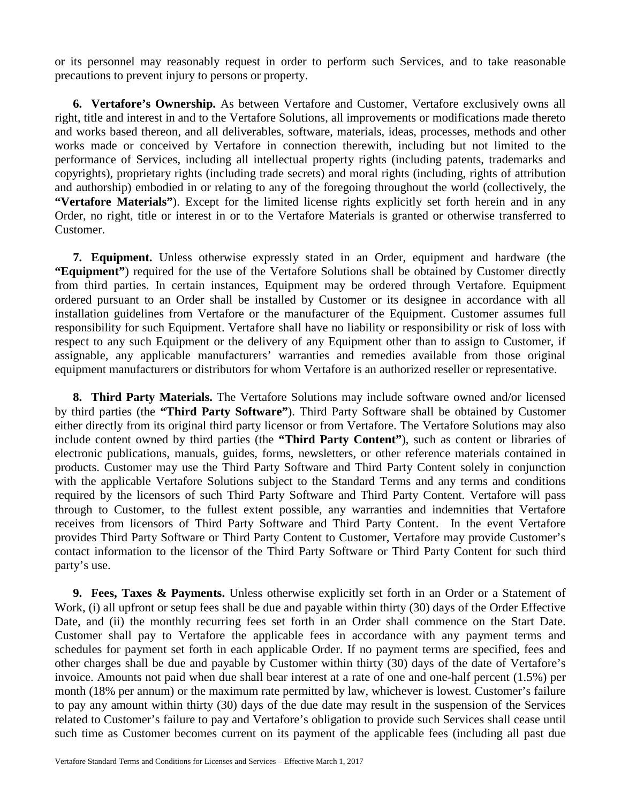or its personnel may reasonably request in order to perform such Services, and to take reasonable precautions to prevent injury to persons or property.

**6. Vertafore's Ownership.** As between Vertafore and Customer, Vertafore exclusively owns all right, title and interest in and to the Vertafore Solutions, all improvements or modifications made thereto and works based thereon, and all deliverables, software, materials, ideas, processes, methods and other works made or conceived by Vertafore in connection therewith, including but not limited to the performance of Services, including all intellectual property rights (including patents, trademarks and copyrights), proprietary rights (including trade secrets) and moral rights (including, rights of attribution and authorship) embodied in or relating to any of the foregoing throughout the world (collectively, the **"Vertafore Materials"**). Except for the limited license rights explicitly set forth herein and in any Order, no right, title or interest in or to the Vertafore Materials is granted or otherwise transferred to Customer.

**7. Equipment.** Unless otherwise expressly stated in an Order, equipment and hardware (the **"Equipment"**) required for the use of the Vertafore Solutions shall be obtained by Customer directly from third parties. In certain instances, Equipment may be ordered through Vertafore. Equipment ordered pursuant to an Order shall be installed by Customer or its designee in accordance with all installation guidelines from Vertafore or the manufacturer of the Equipment. Customer assumes full responsibility for such Equipment. Vertafore shall have no liability or responsibility or risk of loss with respect to any such Equipment or the delivery of any Equipment other than to assign to Customer, if assignable, any applicable manufacturers' warranties and remedies available from those original equipment manufacturers or distributors for whom Vertafore is an authorized reseller or representative.

**8. Third Party Materials.** The Vertafore Solutions may include software owned and/or licensed by third parties (the **"Third Party Software"**). Third Party Software shall be obtained by Customer either directly from its original third party licensor or from Vertafore. The Vertafore Solutions may also include content owned by third parties (the **"Third Party Content"**), such as content or libraries of electronic publications, manuals, guides, forms, newsletters, or other reference materials contained in products. Customer may use the Third Party Software and Third Party Content solely in conjunction with the applicable Vertafore Solutions subject to the Standard Terms and any terms and conditions required by the licensors of such Third Party Software and Third Party Content. Vertafore will pass through to Customer, to the fullest extent possible, any warranties and indemnities that Vertafore receives from licensors of Third Party Software and Third Party Content. In the event Vertafore provides Third Party Software or Third Party Content to Customer, Vertafore may provide Customer's contact information to the licensor of the Third Party Software or Third Party Content for such third party's use.

**9. Fees, Taxes & Payments.** Unless otherwise explicitly set forth in an Order or a Statement of Work, (i) all upfront or setup fees shall be due and payable within thirty (30) days of the Order Effective Date, and (ii) the monthly recurring fees set forth in an Order shall commence on the Start Date. Customer shall pay to Vertafore the applicable fees in accordance with any payment terms and schedules for payment set forth in each applicable Order. If no payment terms are specified, fees and other charges shall be due and payable by Customer within thirty (30) days of the date of Vertafore's invoice. Amounts not paid when due shall bear interest at a rate of one and one-half percent (1.5%) per month (18% per annum) or the maximum rate permitted by law, whichever is lowest. Customer's failure to pay any amount within thirty (30) days of the due date may result in the suspension of the Services related to Customer's failure to pay and Vertafore's obligation to provide such Services shall cease until such time as Customer becomes current on its payment of the applicable fees (including all past due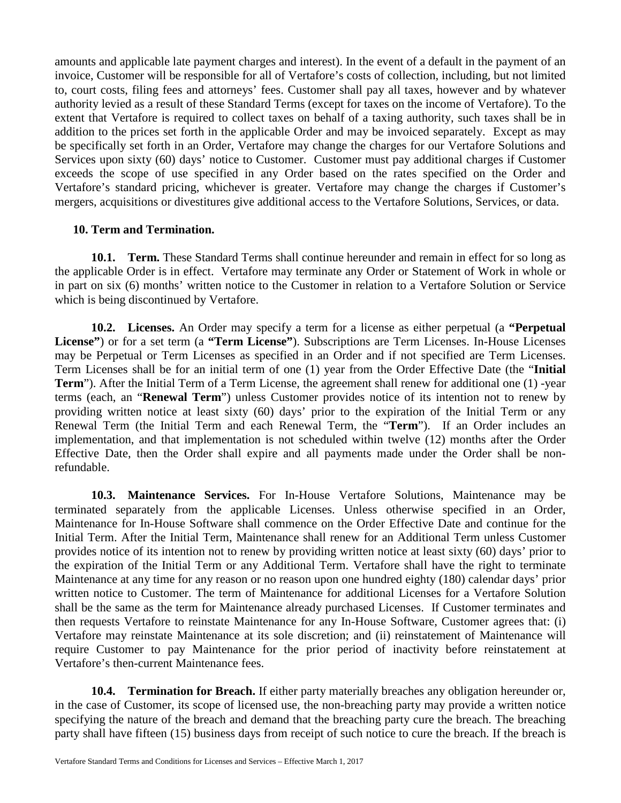amounts and applicable late payment charges and interest). In the event of a default in the payment of an invoice, Customer will be responsible for all of Vertafore's costs of collection, including, but not limited to, court costs, filing fees and attorneys' fees. Customer shall pay all taxes, however and by whatever authority levied as a result of these Standard Terms (except for taxes on the income of Vertafore). To the extent that Vertafore is required to collect taxes on behalf of a taxing authority, such taxes shall be in addition to the prices set forth in the applicable Order and may be invoiced separately. Except as may be specifically set forth in an Order, Vertafore may change the charges for our Vertafore Solutions and Services upon sixty (60) days' notice to Customer. Customer must pay additional charges if Customer exceeds the scope of use specified in any Order based on the rates specified on the Order and Vertafore's standard pricing, whichever is greater. Vertafore may change the charges if Customer's mergers, acquisitions or divestitures give additional access to the Vertafore Solutions, Services, or data.

# **10. Term and Termination.**

**10.1. Term.** These Standard Terms shall continue hereunder and remain in effect for so long as the applicable Order is in effect. Vertafore may terminate any Order or Statement of Work in whole or in part on six (6) months' written notice to the Customer in relation to a Vertafore Solution or Service which is being discontinued by Vertafore.

**10.2. Licenses.** An Order may specify a term for a license as either perpetual (a **"Perpetual License"**) or for a set term (a **"Term License"**). Subscriptions are Term Licenses. In-House Licenses may be Perpetual or Term Licenses as specified in an Order and if not specified are Term Licenses. Term Licenses shall be for an initial term of one (1) year from the Order Effective Date (the "**Initial Term**"). After the Initial Term of a Term License, the agreement shall renew for additional one (1) -year terms (each, an "**Renewal Term**") unless Customer provides notice of its intention not to renew by providing written notice at least sixty (60) days' prior to the expiration of the Initial Term or any Renewal Term (the Initial Term and each Renewal Term, the "**Term**"). If an Order includes an implementation, and that implementation is not scheduled within twelve (12) months after the Order Effective Date, then the Order shall expire and all payments made under the Order shall be nonrefundable.

**10.3. Maintenance Services.** For In-House Vertafore Solutions, Maintenance may be terminated separately from the applicable Licenses. Unless otherwise specified in an Order, Maintenance for In-House Software shall commence on the Order Effective Date and continue for the Initial Term. After the Initial Term, Maintenance shall renew for an Additional Term unless Customer provides notice of its intention not to renew by providing written notice at least sixty (60) days' prior to the expiration of the Initial Term or any Additional Term. Vertafore shall have the right to terminate Maintenance at any time for any reason or no reason upon one hundred eighty (180) calendar days' prior written notice to Customer. The term of Maintenance for additional Licenses for a Vertafore Solution shall be the same as the term for Maintenance already purchased Licenses. If Customer terminates and then requests Vertafore to reinstate Maintenance for any In-House Software, Customer agrees that: (i) Vertafore may reinstate Maintenance at its sole discretion; and (ii) reinstatement of Maintenance will require Customer to pay Maintenance for the prior period of inactivity before reinstatement at Vertafore's then-current Maintenance fees.

**10.4. Termination for Breach.** If either party materially breaches any obligation hereunder or, in the case of Customer, its scope of licensed use, the non-breaching party may provide a written notice specifying the nature of the breach and demand that the breaching party cure the breach. The breaching party shall have fifteen (15) business days from receipt of such notice to cure the breach. If the breach is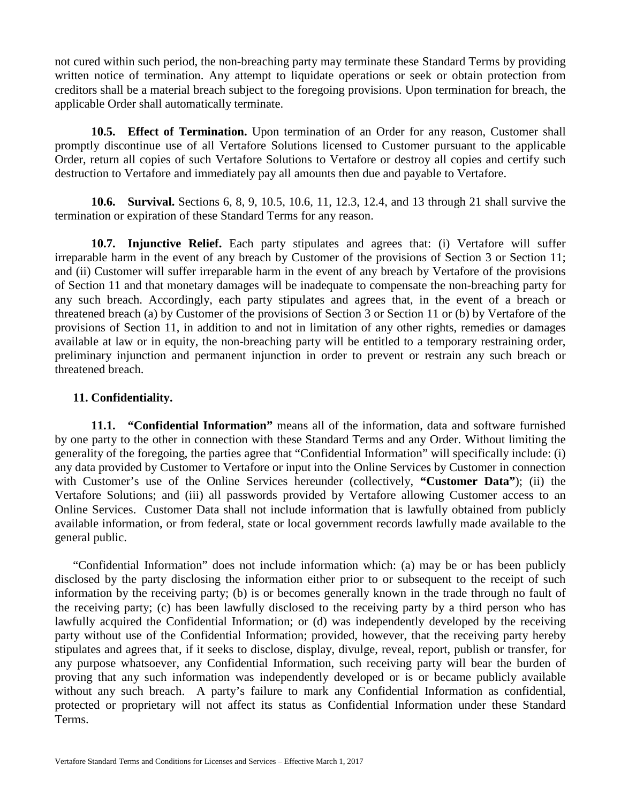not cured within such period, the non-breaching party may terminate these Standard Terms by providing written notice of termination. Any attempt to liquidate operations or seek or obtain protection from creditors shall be a material breach subject to the foregoing provisions. Upon termination for breach, the applicable Order shall automatically terminate.

**10.5. Effect of Termination.** Upon termination of an Order for any reason, Customer shall promptly discontinue use of all Vertafore Solutions licensed to Customer pursuant to the applicable Order, return all copies of such Vertafore Solutions to Vertafore or destroy all copies and certify such destruction to Vertafore and immediately pay all amounts then due and payable to Vertafore.

**10.6. Survival.** Sections 6, 8, 9, 10.5, 10.6, 11, 12.3, 12.4, and 13 through 21 shall survive the termination or expiration of these Standard Terms for any reason.

**10.7. Injunctive Relief.** Each party stipulates and agrees that: (i) Vertafore will suffer irreparable harm in the event of any breach by Customer of the provisions of Section 3 or Section 11; and (ii) Customer will suffer irreparable harm in the event of any breach by Vertafore of the provisions of Section 11 and that monetary damages will be inadequate to compensate the non-breaching party for any such breach. Accordingly, each party stipulates and agrees that, in the event of a breach or threatened breach (a) by Customer of the provisions of Section 3 or Section 11 or (b) by Vertafore of the provisions of Section 11, in addition to and not in limitation of any other rights, remedies or damages available at law or in equity, the non-breaching party will be entitled to a temporary restraining order, preliminary injunction and permanent injunction in order to prevent or restrain any such breach or threatened breach.

# **11. Confidentiality.**

**11.1. "Confidential Information"** means all of the information, data and software furnished by one party to the other in connection with these Standard Terms and any Order. Without limiting the generality of the foregoing, the parties agree that "Confidential Information" will specifically include: (i) any data provided by Customer to Vertafore or input into the Online Services by Customer in connection with Customer's use of the Online Services hereunder (collectively, **"Customer Data"**); (ii) the Vertafore Solutions; and (iii) all passwords provided by Vertafore allowing Customer access to an Online Services. Customer Data shall not include information that is lawfully obtained from publicly available information, or from federal, state or local government records lawfully made available to the general public.

"Confidential Information" does not include information which: (a) may be or has been publicly disclosed by the party disclosing the information either prior to or subsequent to the receipt of such information by the receiving party; (b) is or becomes generally known in the trade through no fault of the receiving party; (c) has been lawfully disclosed to the receiving party by a third person who has lawfully acquired the Confidential Information; or (d) was independently developed by the receiving party without use of the Confidential Information; provided, however, that the receiving party hereby stipulates and agrees that, if it seeks to disclose, display, divulge, reveal, report, publish or transfer, for any purpose whatsoever, any Confidential Information, such receiving party will bear the burden of proving that any such information was independently developed or is or became publicly available without any such breach. A party's failure to mark any Confidential Information as confidential, protected or proprietary will not affect its status as Confidential Information under these Standard Terms.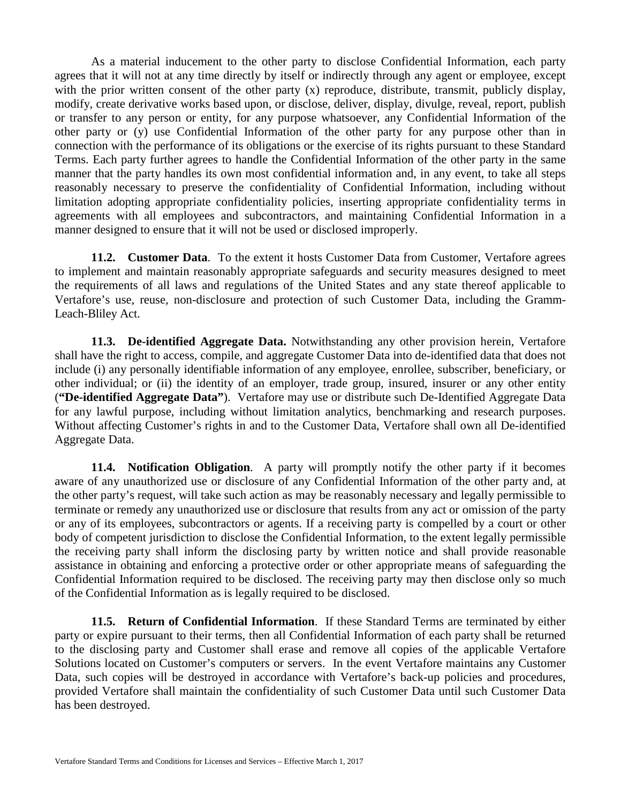As a material inducement to the other party to disclose Confidential Information, each party agrees that it will not at any time directly by itself or indirectly through any agent or employee, except with the prior written consent of the other party (x) reproduce, distribute, transmit, publicly display, modify, create derivative works based upon, or disclose, deliver, display, divulge, reveal, report, publish or transfer to any person or entity, for any purpose whatsoever, any Confidential Information of the other party or (y) use Confidential Information of the other party for any purpose other than in connection with the performance of its obligations or the exercise of its rights pursuant to these Standard Terms. Each party further agrees to handle the Confidential Information of the other party in the same manner that the party handles its own most confidential information and, in any event, to take all steps reasonably necessary to preserve the confidentiality of Confidential Information, including without limitation adopting appropriate confidentiality policies, inserting appropriate confidentiality terms in agreements with all employees and subcontractors, and maintaining Confidential Information in a manner designed to ensure that it will not be used or disclosed improperly.

**11.2. Customer Data**. To the extent it hosts Customer Data from Customer, Vertafore agrees to implement and maintain reasonably appropriate safeguards and security measures designed to meet the requirements of all laws and regulations of the United States and any state thereof applicable to Vertafore's use, reuse, non-disclosure and protection of such Customer Data, including the Gramm-Leach-Bliley Act.

**11.3. De-identified Aggregate Data.** Notwithstanding any other provision herein, Vertafore shall have the right to access, compile, and aggregate Customer Data into de-identified data that does not include (i) any personally identifiable information of any employee, enrollee, subscriber, beneficiary, or other individual; or (ii) the identity of an employer, trade group, insured, insurer or any other entity (**"De-identified Aggregate Data"**). Vertafore may use or distribute such De-Identified Aggregate Data for any lawful purpose, including without limitation analytics, benchmarking and research purposes. Without affecting Customer's rights in and to the Customer Data, Vertafore shall own all De-identified Aggregate Data.

**11.4. Notification Obligation**. A party will promptly notify the other party if it becomes aware of any unauthorized use or disclosure of any Confidential Information of the other party and, at the other party's request, will take such action as may be reasonably necessary and legally permissible to terminate or remedy any unauthorized use or disclosure that results from any act or omission of the party or any of its employees, subcontractors or agents. If a receiving party is compelled by a court or other body of competent jurisdiction to disclose the Confidential Information, to the extent legally permissible the receiving party shall inform the disclosing party by written notice and shall provide reasonable assistance in obtaining and enforcing a protective order or other appropriate means of safeguarding the Confidential Information required to be disclosed. The receiving party may then disclose only so much of the Confidential Information as is legally required to be disclosed.

**11.5. Return of Confidential Information**. If these Standard Terms are terminated by either party or expire pursuant to their terms, then all Confidential Information of each party shall be returned to the disclosing party and Customer shall erase and remove all copies of the applicable Vertafore Solutions located on Customer's computers or servers. In the event Vertafore maintains any Customer Data, such copies will be destroyed in accordance with Vertafore's back-up policies and procedures, provided Vertafore shall maintain the confidentiality of such Customer Data until such Customer Data has been destroyed.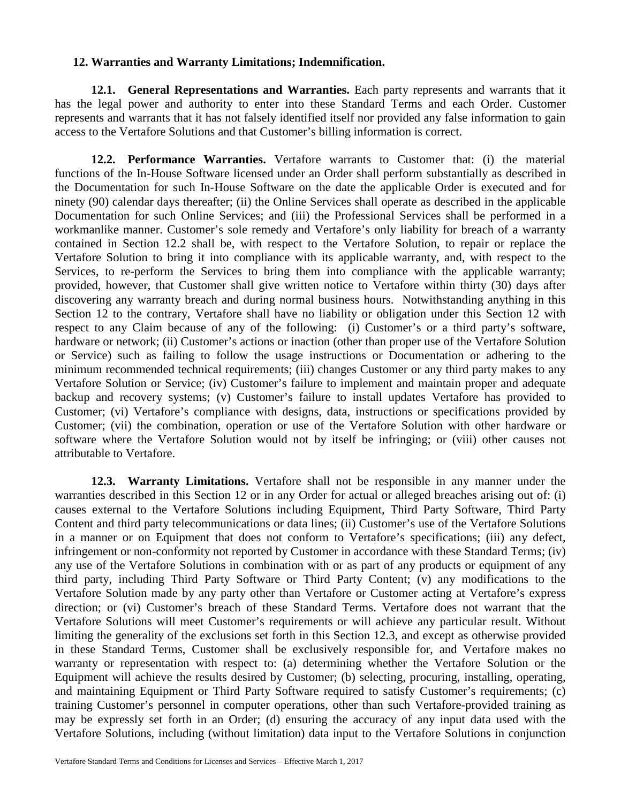### **12. Warranties and Warranty Limitations; Indemnification.**

**12.1. General Representations and Warranties.** Each party represents and warrants that it has the legal power and authority to enter into these Standard Terms and each Order. Customer represents and warrants that it has not falsely identified itself nor provided any false information to gain access to the Vertafore Solutions and that Customer's billing information is correct.

**12.2. Performance Warranties.** Vertafore warrants to Customer that: (i) the material functions of the In-House Software licensed under an Order shall perform substantially as described in the Documentation for such In-House Software on the date the applicable Order is executed and for ninety (90) calendar days thereafter; (ii) the Online Services shall operate as described in the applicable Documentation for such Online Services; and (iii) the Professional Services shall be performed in a workmanlike manner. Customer's sole remedy and Vertafore's only liability for breach of a warranty contained in Section 12.2 shall be, with respect to the Vertafore Solution, to repair or replace the Vertafore Solution to bring it into compliance with its applicable warranty, and, with respect to the Services, to re-perform the Services to bring them into compliance with the applicable warranty; provided, however, that Customer shall give written notice to Vertafore within thirty (30) days after discovering any warranty breach and during normal business hours. Notwithstanding anything in this Section 12 to the contrary, Vertafore shall have no liability or obligation under this Section 12 with respect to any Claim because of any of the following: (i) Customer's or a third party's software, hardware or network; (ii) Customer's actions or inaction (other than proper use of the Vertafore Solution or Service) such as failing to follow the usage instructions or Documentation or adhering to the minimum recommended technical requirements; (iii) changes Customer or any third party makes to any Vertafore Solution or Service; (iv) Customer's failure to implement and maintain proper and adequate backup and recovery systems; (v) Customer's failure to install updates Vertafore has provided to Customer; (vi) Vertafore's compliance with designs, data, instructions or specifications provided by Customer; (vii) the combination, operation or use of the Vertafore Solution with other hardware or software where the Vertafore Solution would not by itself be infringing; or (viii) other causes not attributable to Vertafore.

**12.3. Warranty Limitations.** Vertafore shall not be responsible in any manner under the warranties described in this Section 12 or in any Order for actual or alleged breaches arising out of: (i) causes external to the Vertafore Solutions including Equipment, Third Party Software, Third Party Content and third party telecommunications or data lines; (ii) Customer's use of the Vertafore Solutions in a manner or on Equipment that does not conform to Vertafore's specifications; (iii) any defect, infringement or non-conformity not reported by Customer in accordance with these Standard Terms; (iv) any use of the Vertafore Solutions in combination with or as part of any products or equipment of any third party, including Third Party Software or Third Party Content; (v) any modifications to the Vertafore Solution made by any party other than Vertafore or Customer acting at Vertafore's express direction; or (vi) Customer's breach of these Standard Terms. Vertafore does not warrant that the Vertafore Solutions will meet Customer's requirements or will achieve any particular result. Without limiting the generality of the exclusions set forth in this Section 12.3, and except as otherwise provided in these Standard Terms, Customer shall be exclusively responsible for, and Vertafore makes no warranty or representation with respect to: (a) determining whether the Vertafore Solution or the Equipment will achieve the results desired by Customer; (b) selecting, procuring, installing, operating, and maintaining Equipment or Third Party Software required to satisfy Customer's requirements; (c) training Customer's personnel in computer operations, other than such Vertafore-provided training as may be expressly set forth in an Order; (d) ensuring the accuracy of any input data used with the Vertafore Solutions, including (without limitation) data input to the Vertafore Solutions in conjunction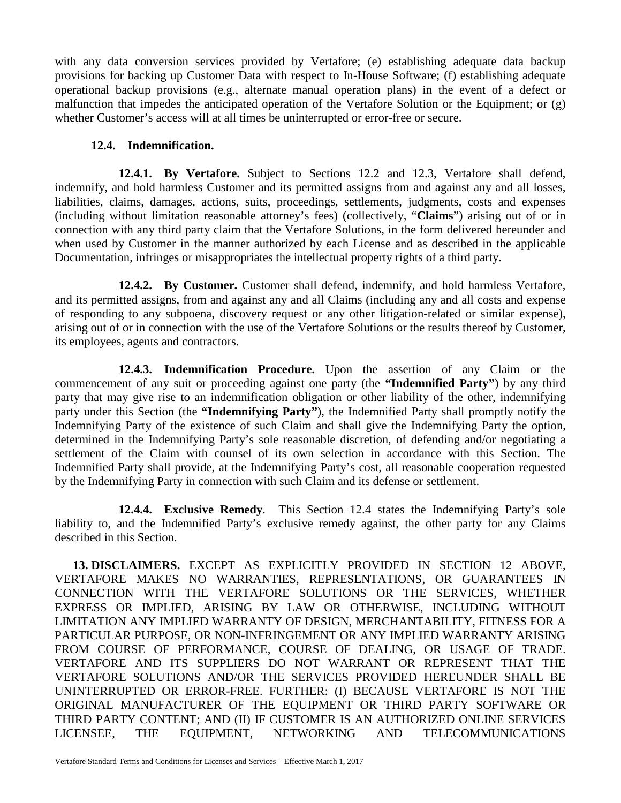with any data conversion services provided by Vertafore; (e) establishing adequate data backup provisions for backing up Customer Data with respect to In-House Software; (f) establishing adequate operational backup provisions (e.g., alternate manual operation plans) in the event of a defect or malfunction that impedes the anticipated operation of the Vertafore Solution or the Equipment; or (g) whether Customer's access will at all times be uninterrupted or error-free or secure.

# **12.4. Indemnification.**

**12.4.1. By Vertafore.** Subject to Sections 12.2 and 12.3, Vertafore shall defend, indemnify, and hold harmless Customer and its permitted assigns from and against any and all losses, liabilities, claims, damages, actions, suits, proceedings, settlements, judgments, costs and expenses (including without limitation reasonable attorney's fees) (collectively, "**Claims**") arising out of or in connection with any third party claim that the Vertafore Solutions, in the form delivered hereunder and when used by Customer in the manner authorized by each License and as described in the applicable Documentation, infringes or misappropriates the intellectual property rights of a third party.

**12.4.2. By Customer.** Customer shall defend, indemnify, and hold harmless Vertafore, and its permitted assigns, from and against any and all Claims (including any and all costs and expense of responding to any subpoena, discovery request or any other litigation-related or similar expense), arising out of or in connection with the use of the Vertafore Solutions or the results thereof by Customer, its employees, agents and contractors.

**12.4.3. Indemnification Procedure.** Upon the assertion of any Claim or the commencement of any suit or proceeding against one party (the **"Indemnified Party"**) by any third party that may give rise to an indemnification obligation or other liability of the other, indemnifying party under this Section (the **"Indemnifying Party"**), the Indemnified Party shall promptly notify the Indemnifying Party of the existence of such Claim and shall give the Indemnifying Party the option, determined in the Indemnifying Party's sole reasonable discretion, of defending and/or negotiating a settlement of the Claim with counsel of its own selection in accordance with this Section. The Indemnified Party shall provide, at the Indemnifying Party's cost, all reasonable cooperation requested by the Indemnifying Party in connection with such Claim and its defense or settlement.

**12.4.4. Exclusive Remedy**. This Section 12.4 states the Indemnifying Party's sole liability to, and the Indemnified Party's exclusive remedy against, the other party for any Claims described in this Section.

**13. DISCLAIMERS.** EXCEPT AS EXPLICITLY PROVIDED IN SECTION 12 ABOVE, VERTAFORE MAKES NO WARRANTIES, REPRESENTATIONS, OR GUARANTEES IN CONNECTION WITH THE VERTAFORE SOLUTIONS OR THE SERVICES, WHETHER EXPRESS OR IMPLIED, ARISING BY LAW OR OTHERWISE, INCLUDING WITHOUT LIMITATION ANY IMPLIED WARRANTY OF DESIGN, MERCHANTABILITY, FITNESS FOR A PARTICULAR PURPOSE, OR NON-INFRINGEMENT OR ANY IMPLIED WARRANTY ARISING FROM COURSE OF PERFORMANCE, COURSE OF DEALING, OR USAGE OF TRADE. VERTAFORE AND ITS SUPPLIERS DO NOT WARRANT OR REPRESENT THAT THE VERTAFORE SOLUTIONS AND/OR THE SERVICES PROVIDED HEREUNDER SHALL BE UNINTERRUPTED OR ERROR-FREE. FURTHER: (I) BECAUSE VERTAFORE IS NOT THE ORIGINAL MANUFACTURER OF THE EQUIPMENT OR THIRD PARTY SOFTWARE OR THIRD PARTY CONTENT; AND (II) IF CUSTOMER IS AN AUTHORIZED ONLINE SERVICES LICENSEE, THE EQUIPMENT, NETWORKING AND TELECOMMUNICATIONS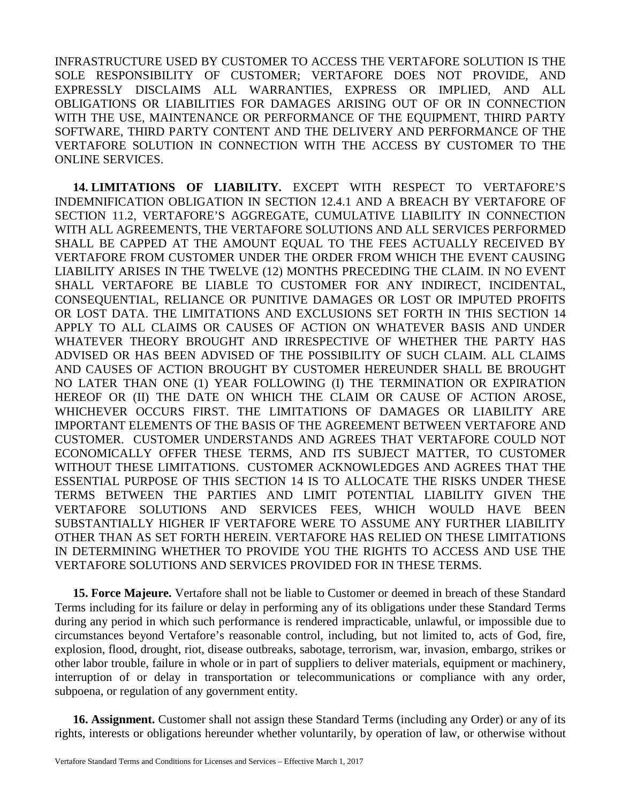INFRASTRUCTURE USED BY CUSTOMER TO ACCESS THE VERTAFORE SOLUTION IS THE SOLE RESPONSIBILITY OF CUSTOMER; VERTAFORE DOES NOT PROVIDE, AND EXPRESSLY DISCLAIMS ALL WARRANTIES, EXPRESS OR IMPLIED, AND ALL OBLIGATIONS OR LIABILITIES FOR DAMAGES ARISING OUT OF OR IN CONNECTION WITH THE USE, MAINTENANCE OR PERFORMANCE OF THE EQUIPMENT, THIRD PARTY SOFTWARE, THIRD PARTY CONTENT AND THE DELIVERY AND PERFORMANCE OF THE VERTAFORE SOLUTION IN CONNECTION WITH THE ACCESS BY CUSTOMER TO THE ONLINE SERVICES.

**14. LIMITATIONS OF LIABILITY.** EXCEPT WITH RESPECT TO VERTAFORE'S INDEMNIFICATION OBLIGATION IN SECTION 12.4.1 AND A BREACH BY VERTAFORE OF SECTION 11.2, VERTAFORE'S AGGREGATE, CUMULATIVE LIABILITY IN CONNECTION WITH ALL AGREEMENTS, THE VERTAFORE SOLUTIONS AND ALL SERVICES PERFORMED SHALL BE CAPPED AT THE AMOUNT EQUAL TO THE FEES ACTUALLY RECEIVED BY VERTAFORE FROM CUSTOMER UNDER THE ORDER FROM WHICH THE EVENT CAUSING LIABILITY ARISES IN THE TWELVE (12) MONTHS PRECEDING THE CLAIM. IN NO EVENT SHALL VERTAFORE BE LIABLE TO CUSTOMER FOR ANY INDIRECT, INCIDENTAL, CONSEQUENTIAL, RELIANCE OR PUNITIVE DAMAGES OR LOST OR IMPUTED PROFITS OR LOST DATA. THE LIMITATIONS AND EXCLUSIONS SET FORTH IN THIS SECTION 14 APPLY TO ALL CLAIMS OR CAUSES OF ACTION ON WHATEVER BASIS AND UNDER WHATEVER THEORY BROUGHT AND IRRESPECTIVE OF WHETHER THE PARTY HAS ADVISED OR HAS BEEN ADVISED OF THE POSSIBILITY OF SUCH CLAIM. ALL CLAIMS AND CAUSES OF ACTION BROUGHT BY CUSTOMER HEREUNDER SHALL BE BROUGHT NO LATER THAN ONE (1) YEAR FOLLOWING (I) THE TERMINATION OR EXPIRATION HEREOF OR (II) THE DATE ON WHICH THE CLAIM OR CAUSE OF ACTION AROSE, WHICHEVER OCCURS FIRST. THE LIMITATIONS OF DAMAGES OR LIABILITY ARE IMPORTANT ELEMENTS OF THE BASIS OF THE AGREEMENT BETWEEN VERTAFORE AND CUSTOMER. CUSTOMER UNDERSTANDS AND AGREES THAT VERTAFORE COULD NOT ECONOMICALLY OFFER THESE TERMS, AND ITS SUBJECT MATTER, TO CUSTOMER WITHOUT THESE LIMITATIONS. CUSTOMER ACKNOWLEDGES AND AGREES THAT THE ESSENTIAL PURPOSE OF THIS SECTION 14 IS TO ALLOCATE THE RISKS UNDER THESE TERMS BETWEEN THE PARTIES AND LIMIT POTENTIAL LIABILITY GIVEN THE VERTAFORE SOLUTIONS AND SERVICES FEES, WHICH WOULD HAVE BEEN SUBSTANTIALLY HIGHER IF VERTAFORE WERE TO ASSUME ANY FURTHER LIABILITY OTHER THAN AS SET FORTH HEREIN. VERTAFORE HAS RELIED ON THESE LIMITATIONS IN DETERMINING WHETHER TO PROVIDE YOU THE RIGHTS TO ACCESS AND USE THE VERTAFORE SOLUTIONS AND SERVICES PROVIDED FOR IN THESE TERMS.

**15. Force Majeure.** Vertafore shall not be liable to Customer or deemed in breach of these Standard Terms including for its failure or delay in performing any of its obligations under these Standard Terms during any period in which such performance is rendered impracticable, unlawful, or impossible due to circumstances beyond Vertafore's reasonable control, including, but not limited to, acts of God, fire, explosion, flood, drought, riot, disease outbreaks, sabotage, terrorism, war, invasion, embargo, strikes or other labor trouble, failure in whole or in part of suppliers to deliver materials, equipment or machinery, interruption of or delay in transportation or telecommunications or compliance with any order, subpoena, or regulation of any government entity.

**16. Assignment.** Customer shall not assign these Standard Terms (including any Order) or any of its rights, interests or obligations hereunder whether voluntarily, by operation of law, or otherwise without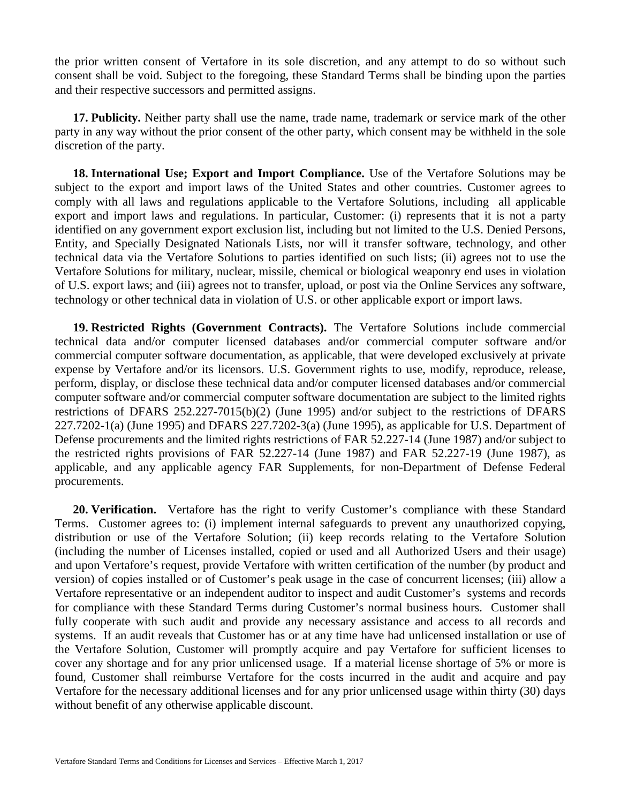the prior written consent of Vertafore in its sole discretion, and any attempt to do so without such consent shall be void. Subject to the foregoing, these Standard Terms shall be binding upon the parties and their respective successors and permitted assigns.

**17. Publicity.** Neither party shall use the name, trade name, trademark or service mark of the other party in any way without the prior consent of the other party, which consent may be withheld in the sole discretion of the party.

**18. International Use; Export and Import Compliance.** Use of the Vertafore Solutions may be subject to the export and import laws of the United States and other countries. Customer agrees to comply with all laws and regulations applicable to the Vertafore Solutions, including all applicable export and import laws and regulations. In particular, Customer: (i) represents that it is not a party identified on any government export exclusion list, including but not limited to the U.S. Denied Persons, Entity, and Specially Designated Nationals Lists, nor will it transfer software, technology, and other technical data via the Vertafore Solutions to parties identified on such lists; (ii) agrees not to use the Vertafore Solutions for military, nuclear, missile, chemical or biological weaponry end uses in violation of U.S. export laws; and (iii) agrees not to transfer, upload, or post via the Online Services any software, technology or other technical data in violation of U.S. or other applicable export or import laws.

**19. Restricted Rights (Government Contracts).** The Vertafore Solutions include commercial technical data and/or computer licensed databases and/or commercial computer software and/or commercial computer software documentation, as applicable, that were developed exclusively at private expense by Vertafore and/or its licensors. U.S. Government rights to use, modify, reproduce, release, perform, display, or disclose these technical data and/or computer licensed databases and/or commercial computer software and/or commercial computer software documentation are subject to the limited rights restrictions of DFARS 252.227-7015(b)(2) (June 1995) and/or subject to the restrictions of DFARS 227.7202-1(a) (June 1995) and DFARS 227.7202-3(a) (June 1995), as applicable for U.S. Department of Defense procurements and the limited rights restrictions of FAR 52.227-14 (June 1987) and/or subject to the restricted rights provisions of FAR 52.227-14 (June 1987) and FAR 52.227-19 (June 1987), as applicable, and any applicable agency FAR Supplements, for non-Department of Defense Federal procurements.

**20. Verification.** Vertafore has the right to verify Customer's compliance with these Standard Terms. Customer agrees to: (i) implement internal safeguards to prevent any unauthorized copying, distribution or use of the Vertafore Solution; (ii) keep records relating to the Vertafore Solution (including the number of Licenses installed, copied or used and all Authorized Users and their usage) and upon Vertafore's request, provide Vertafore with written certification of the number (by product and version) of copies installed or of Customer's peak usage in the case of concurrent licenses; (iii) allow a Vertafore representative or an independent auditor to inspect and audit Customer's systems and records for compliance with these Standard Terms during Customer's normal business hours. Customer shall fully cooperate with such audit and provide any necessary assistance and access to all records and systems. If an audit reveals that Customer has or at any time have had unlicensed installation or use of the Vertafore Solution, Customer will promptly acquire and pay Vertafore for sufficient licenses to cover any shortage and for any prior unlicensed usage. If a material license shortage of 5% or more is found, Customer shall reimburse Vertafore for the costs incurred in the audit and acquire and pay Vertafore for the necessary additional licenses and for any prior unlicensed usage within thirty (30) days without benefit of any otherwise applicable discount.